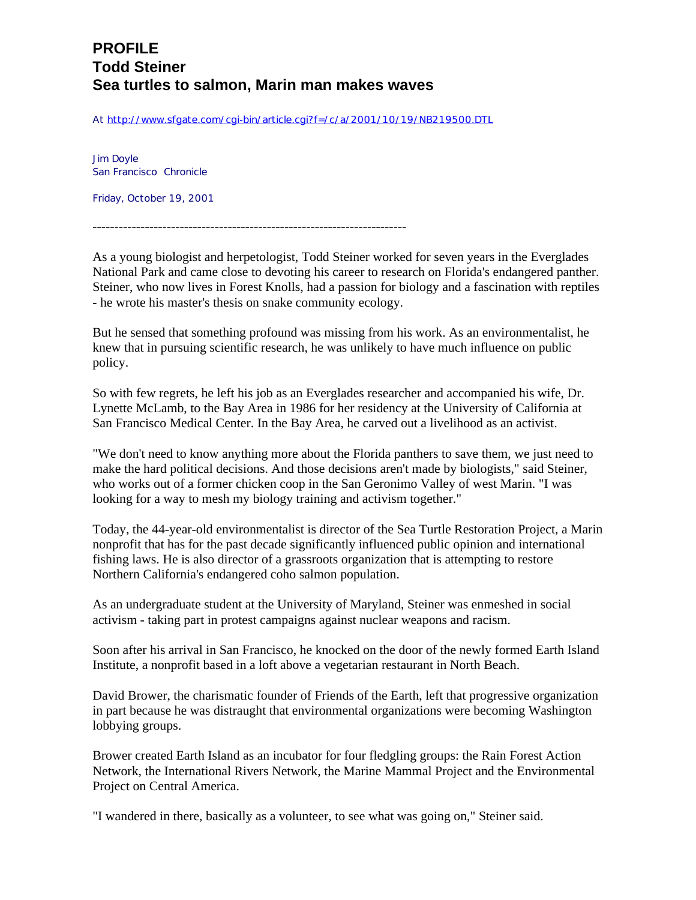## **PROFILE Todd Steiner Sea turtles to salmon, Marin man makes waves**

At http://www.sfgate.com/cgi-bin/article.cgi?f=/c/a/2001/10/19/NB219500.DTL

Jim Doyle San Francisco Chronicle

Friday, October 19, 2001

------------------------------------------------------------------------

As a young biologist and herpetologist, Todd Steiner worked for seven years in the Everglades National Park and came close to devoting his career to research on Florida's endangered panther. Steiner, who now lives in Forest Knolls, had a passion for biology and a fascination with reptiles - he wrote his master's thesis on snake community ecology.

But he sensed that something profound was missing from his work. As an environmentalist, he knew that in pursuing scientific research, he was unlikely to have much influence on public policy.

So with few regrets, he left his job as an Everglades researcher and accompanied his wife, Dr. Lynette McLamb, to the Bay Area in 1986 for her residency at the University of California at San Francisco Medical Center. In the Bay Area, he carved out a livelihood as an activist.

"We don't need to know anything more about the Florida panthers to save them, we just need to make the hard political decisions. And those decisions aren't made by biologists," said Steiner, who works out of a former chicken coop in the San Geronimo Valley of west Marin. "I was looking for a way to mesh my biology training and activism together."

Today, the 44-year-old environmentalist is director of the Sea Turtle Restoration Project, a Marin nonprofit that has for the past decade significantly influenced public opinion and international fishing laws. He is also director of a grassroots organization that is attempting to restore Northern California's endangered coho salmon population.

As an undergraduate student at the University of Maryland, Steiner was enmeshed in social activism - taking part in protest campaigns against nuclear weapons and racism.

Soon after his arrival in San Francisco, he knocked on the door of the newly formed Earth Island Institute, a nonprofit based in a loft above a vegetarian restaurant in North Beach.

David Brower, the charismatic founder of Friends of the Earth, left that progressive organization in part because he was distraught that environmental organizations were becoming Washington lobbying groups.

Brower created Earth Island as an incubator for four fledgling groups: the Rain Forest Action Network, the International Rivers Network, the Marine Mammal Project and the Environmental Project on Central America.

"I wandered in there, basically as a volunteer, to see what was going on," Steiner said.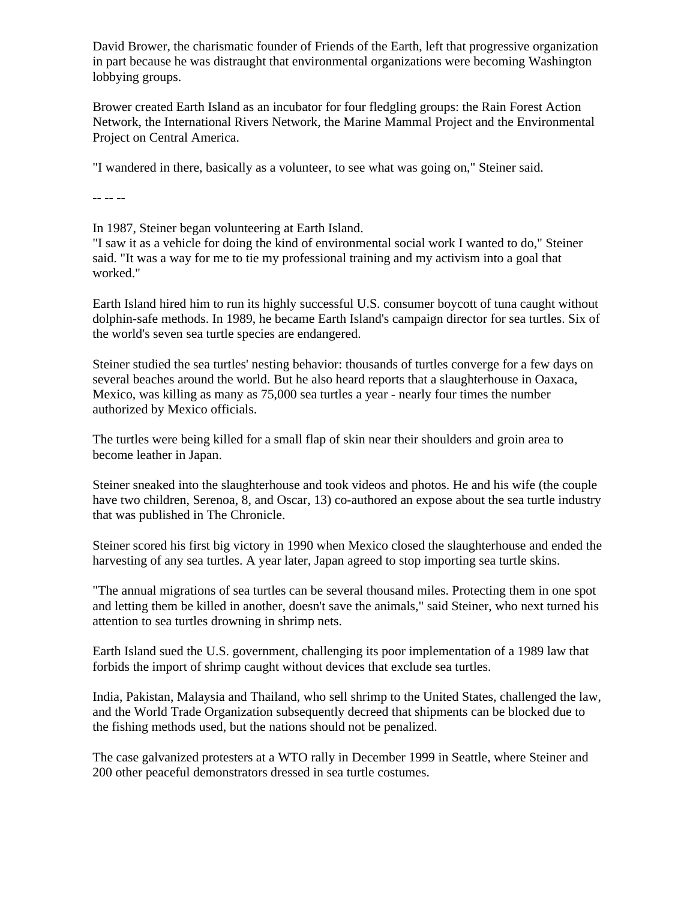David Brower, the charismatic founder of Friends of the Earth, left that progressive organization in part because he was distraught that environmental organizations were becoming Washington lobbying groups.

Brower created Earth Island as an incubator for four fledgling groups: the Rain Forest Action Network, the International Rivers Network, the Marine Mammal Project and the Environmental Project on Central America.

"I wandered in there, basically as a volunteer, to see what was going on," Steiner said.

-- -- --

In 1987, Steiner began volunteering at Earth Island.

"I saw it as a vehicle for doing the kind of environmental social work I wanted to do," Steiner said. "It was a way for me to tie my professional training and my activism into a goal that worked."

Earth Island hired him to run its highly successful U.S. consumer boycott of tuna caught without dolphin-safe methods. In 1989, he became Earth Island's campaign director for sea turtles. Six of the world's seven sea turtle species are endangered.

Steiner studied the sea turtles' nesting behavior: thousands of turtles converge for a few days on several beaches around the world. But he also heard reports that a slaughterhouse in Oaxaca, Mexico, was killing as many as 75,000 sea turtles a year - nearly four times the number authorized by Mexico officials.

The turtles were being killed for a small flap of skin near their shoulders and groin area to become leather in Japan.

Steiner sneaked into the slaughterhouse and took videos and photos. He and his wife (the couple have two children, Serenoa, 8, and Oscar, 13) co-authored an expose about the sea turtle industry that was published in The Chronicle.

Steiner scored his first big victory in 1990 when Mexico closed the slaughterhouse and ended the harvesting of any sea turtles. A year later, Japan agreed to stop importing sea turtle skins.

"The annual migrations of sea turtles can be several thousand miles. Protecting them in one spot and letting them be killed in another, doesn't save the animals," said Steiner, who next turned his attention to sea turtles drowning in shrimp nets.

Earth Island sued the U.S. government, challenging its poor implementation of a 1989 law that forbids the import of shrimp caught without devices that exclude sea turtles.

India, Pakistan, Malaysia and Thailand, who sell shrimp to the United States, challenged the law, and the World Trade Organization subsequently decreed that shipments can be blocked due to the fishing methods used, but the nations should not be penalized.

The case galvanized protesters at a WTO rally in December 1999 in Seattle, where Steiner and 200 other peaceful demonstrators dressed in sea turtle costumes.